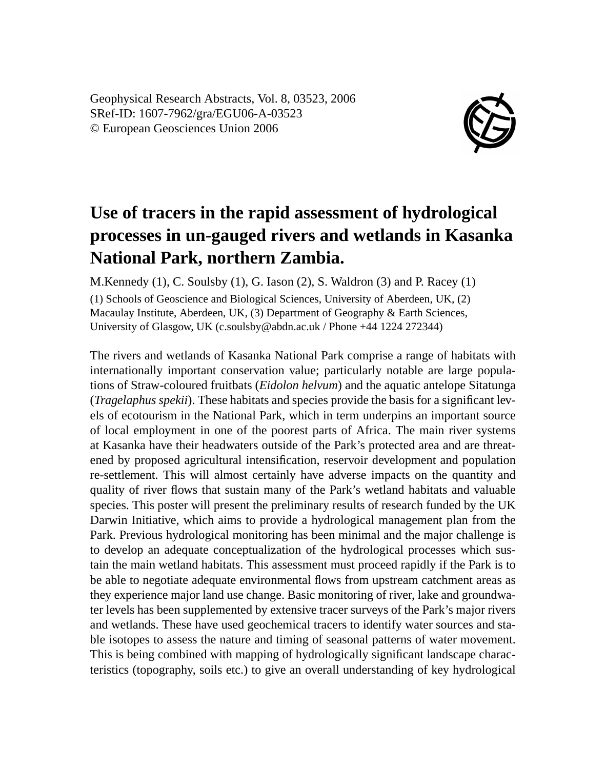Geophysical Research Abstracts, Vol. 8, 03523, 2006 SRef-ID: 1607-7962/gra/EGU06-A-03523 © European Geosciences Union 2006



## **Use of tracers in the rapid assessment of hydrological processes in un-gauged rivers and wetlands in Kasanka National Park, northern Zambia.**

M.Kennedy (1), C. Soulsby (1), G. Iason (2), S. Waldron (3) and P. Racey (1) (1) Schools of Geoscience and Biological Sciences, University of Aberdeen, UK, (2) Macaulay Institute, Aberdeen, UK, (3) Department of Geography & Earth Sciences, University of Glasgow, UK (c.soulsby@abdn.ac.uk / Phone +44 1224 272344)

The rivers and wetlands of Kasanka National Park comprise a range of habitats with internationally important conservation value; particularly notable are large populations of Straw-coloured fruitbats (*Eidolon helvum*) and the aquatic antelope Sitatunga (*Tragelaphus spekii*). These habitats and species provide the basis for a significant levels of ecotourism in the National Park, which in term underpins an important source of local employment in one of the poorest parts of Africa. The main river systems at Kasanka have their headwaters outside of the Park's protected area and are threatened by proposed agricultural intensification, reservoir development and population re-settlement. This will almost certainly have adverse impacts on the quantity and quality of river flows that sustain many of the Park's wetland habitats and valuable species. This poster will present the preliminary results of research funded by the UK Darwin Initiative, which aims to provide a hydrological management plan from the Park. Previous hydrological monitoring has been minimal and the major challenge is to develop an adequate conceptualization of the hydrological processes which sustain the main wetland habitats. This assessment must proceed rapidly if the Park is to be able to negotiate adequate environmental flows from upstream catchment areas as they experience major land use change. Basic monitoring of river, lake and groundwater levels has been supplemented by extensive tracer surveys of the Park's major rivers and wetlands. These have used geochemical tracers to identify water sources and stable isotopes to assess the nature and timing of seasonal patterns of water movement. This is being combined with mapping of hydrologically significant landscape characteristics (topography, soils etc.) to give an overall understanding of key hydrological